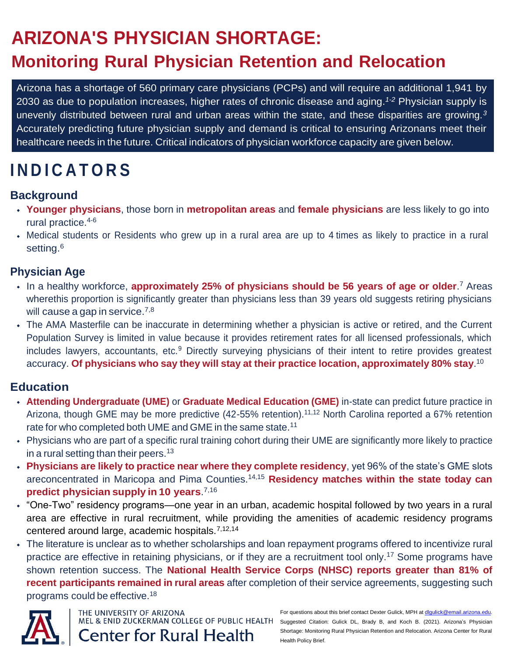# **ARIZONA'S PHYSICIAN SHORTAGE:**

## **Monitoring Rural Physician Retention and Relocation**

Arizona has a shortage of 560 primary care physicians (PCPs) and will require an additional 1,941 by 2030 as due to population increases, higher rates of chronic disease and aging.*1-2* Physician supply is unevenly distributed between rural and urban areas within the state, and these disparities are growing.*<sup>3</sup>* Accurately predicting future physician supply and demand is critical to ensuring Arizonans meet their healthcare needs in the future. Critical indicators of physician workforce capacity are given below.

# **I N D I C A T O R S**

## **Background**

- **Younger physicians**, those born in **metropolitan areas** and **female physicians** are less likely to go into rural practice.4-6
- Medical students or Residents who grew up in a rural area are up to 4 times as likely to practice in a rural setting.<sup>6</sup>

## **Physician Age**

- In a healthy workforce, **approximately 25% of physicians should be 56 years of age or older**. <sup>7</sup> Areas wherethis proportion is significantly greater than physicians less than 39 years old suggests retiring physicians will cause a gap in service.<sup>7,8</sup>
- The AMA Masterfile can be inaccurate in determining whether a physician is active or retired, and the Current Population Survey is limited in value because it provides retirement rates for all licensed professionals, which includes lawyers, accountants, etc.<sup>9</sup> Directly surveying physicians of their intent to retire provides greatest accuracy. **Of physicians who say they will stay at their practice location, approximately 80% stay**. 10

## **Education**

- **Attending Undergraduate (UME)** or **Graduate Medical Education (GME)** in-state can predict future practice in Arizona, though GME may be more predictive (42-55% retention).<sup>11,12</sup> North Carolina reported a 67% retention rate for who completed both UME and GME in the same state.<sup>11</sup>
- Physicians who are part of a specific rural training cohort during their UME are significantly more likely to practice in a rural setting than their peers.<sup>13</sup>
- **Physicians are likely to practice near where they complete residency**, yet 96% of the state's GME slots areconcentrated in Maricopa and Pima Counties.14,15 **Residency matches within the state today can predict physician supply in 10 years**. 7,16
- "One-Two" residency programs—one year in an urban, academic hospital followed by two years in a rural area are effective in rural recruitment, while providing the amenities of academic residency programs centered around large, academic hospitals.7,12,14
- The literature is unclear as to whether scholarships and loan repayment programs offered to incentivize rural practice are effective in retaining physicians, or if they are a recruitment tool only.<sup>17</sup> Some programs have shown retention success. The **National Health Service Corps (NHSC) reports greater than 81% of recent participants remained in rural areas** after completion of their service agreements, suggesting such programs could be effective.<sup>18</sup>



THE UNIVERSITY OF ARIZONA **Center for Rural Health**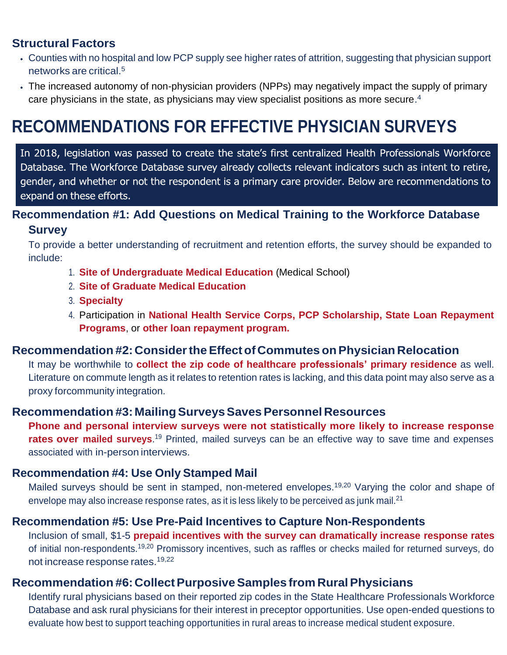## **Structural Factors**

- Counties with no hospital and low PCP supply see higher rates of attrition, suggesting that physician support networks are critical.<sup>5</sup>
- The increased autonomy of non-physician providers (NPPs) may negatively impact the supply of primary care physicians in the state, as physicians may view specialist positions as more secure. 4

## **RECOMMENDATIONS FOR EFFECTIVE PHYSICIAN SURVEYS**

In 2018, legislation was passed to create the state's first centralized Health Professionals Workforce Database. The Workforce Database survey already collects relevant indicators such as intent to retire, gender, and whether or not the respondent is a primary care provider. Below are recommendations to expand on these efforts.

## **Recommendation #1: Add Questions on Medical Training to the Workforce Database**

#### **Survey**

To provide a better understanding of recruitment and retention efforts, the survey should be expanded to include:

- 1. **Site of Undergraduate Medical Education** (Medical School)
- 2. **Site of Graduate Medical Education**
- 3. **Specialty**
- 4. Participation in **National Health Service Corps, PCP Scholarship, State Loan Repayment Programs**, or **other loan repayment program.**

### **Recommendation #2: ConsidertheEffectof Commutes onPhysician Relocation**

It may be worthwhile to **collect the zip code of healthcare professionals' primary residence** as well. Literature on commute length as it relates to retention rates is lacking, and this data point may also serve as a proxy forcommunity integration.

### **Recommendation #3: MailingSurveysSavesPersonnel Resources**

**Phone and personal interview surveys were not statistically more likely to increase response rates over mailed surveys**.<sup>19</sup> Printed, mailed surveys can be an effective way to save time and expenses associated with in-person interviews.

### **Recommendation #4: Use Only Stamped Mail**

Mailed surveys should be sent in stamped, non-metered envelopes.<sup>19,20</sup> Varying the color and shape of envelope may also increase response rates, as it is less likely to be perceived as junk mail.<sup>21</sup>

### **Recommendation #5: Use Pre-Paid Incentives to Capture Non-Respondents**

Inclusion of small, \$1-5 **prepaid incentives with the survey can dramatically increase response rates** of initial non-respondents.19,20 Promissory incentives, such as raffles or checks mailed for returned surveys, do not increase response rates.19,22

### **Recommendation #6: Collect Purposive Samples from Rural Physicians**

Identify rural physicians based on their reported zip codes in the State Healthcare Professionals Workforce Database and ask rural physicians for their interest in preceptor opportunities. Use open-ended questions to evaluate how best to support teaching opportunities in rural areas to increase medical student exposure.